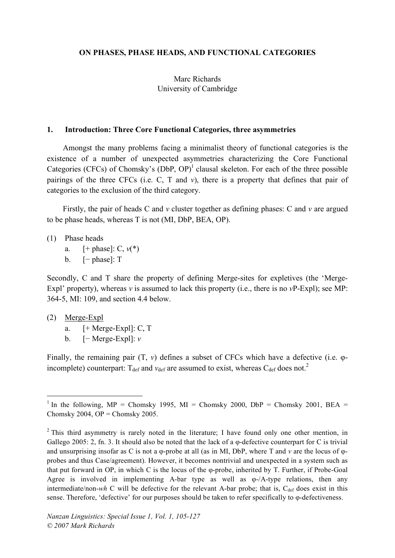#### **ON PHASES, PHASE HEADS, AND FUNCTIONAL CATEGORIES**

#### Marc Richards University of Cambridge

#### **1. Introduction: Three Core Functional Categories, three asymmetries**

Amongst the many problems facing a minimalist theory of functional categories is the existence of a number of unexpected asymmetries characterizing the Core Functional Categories (CFCs) of Chomsky's (DbP, OP)<sup>1</sup> clausal skeleton. For each of the three possible pairings of the three CFCs (i.e. C, T and *v*), there is a property that defines that pair of categories to the exclusion of the third category.

Firstly, the pair of heads C and *v* cluster together as defining phases: C and *v* are argued to be phase heads, whereas T is not (MI, DbP, BEA, OP).

- (1) Phase heads
	- a. [+ phase]: C, *v*(\*)
	- b. [− phase]: T

Secondly, C and T share the property of defining Merge-sites for expletives (the 'Merge-Expl' property), whereas *v* is assumed to lack this property (i.e., there is no *v*P-Expl); see MP: 364-5, MI: 109, and section 4.4 below.

- (2) Merge-Expl
	- a.  $[+ \text{Merge-Expl}]$ : C, T
	- b. [− Merge-Expl]: *v*

Finally, the remaining pair (T, *v*) defines a subset of CFCs which have a defective (i.e. φincomplete) counterpart:  $T_{\text{def}}$  and  $v_{\text{def}}$  are assumed to exist, whereas  $C_{\text{def}}$  does not.<sup>2</sup>

<sup>1</sup> In the following, MP = Chomsky 1995, MI = Chomsky 2000, DbP = Chomsky 2001, BEA = Chomsky 2004, OP = Chomsky 2005.

 $2$  This third asymmetry is rarely noted in the literature; I have found only one other mention, in Gallego 2005: 2, fn. 3. It should also be noted that the lack of a φ-defective counterpart for C is trivial and unsurprising insofar as C is not a φ-probe at all (as in MI, DbP, where T and *v* are the locus of φprobes and thus Case/agreement). However, it becomes nontrivial and unexpected in a system such as that put forward in OP, in which C is the locus of the φ-probe, inherited by T. Further, if Probe-Goal Agree is involved in implementing A-bar type as well as φ-/A-type relations, then any intermediate/non-*wh* C will be defective for the relevant A-bar probe; that is,  $C_{\text{def}}$  does exist in this sense. Therefore, 'defective' for our purposes should be taken to refer specifically to φ-defectiveness.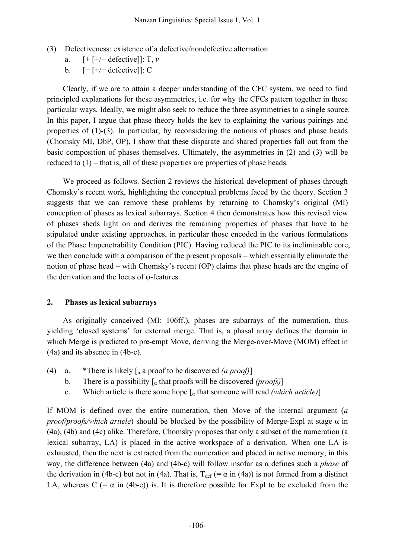- (3) Defectiveness: existence of a defective/nondefective alternation
	- a. [+ [+/− defective]]: T, *v*
	- b. [− [+/− defective]]: C

Clearly, if we are to attain a deeper understanding of the CFC system, we need to find principled explanations for these asymmetries, i.e. for why the CFCs pattern together in these particular ways. Ideally, we might also seek to reduce the three asymmetries to a single source. In this paper, I argue that phase theory holds the key to explaining the various pairings and properties of  $(1)-(3)$ . In particular, by reconsidering the notions of phases and phase heads (Chomsky MI, DbP, OP), I show that these disparate and shared properties fall out from the basic composition of phases themselves. Ultimately, the asymmetries in (2) and (3) will be reduced to (1) – that is, all of these properties are properties of phase heads.

We proceed as follows. Section 2 reviews the historical development of phases through Chomsky's recent work, highlighting the conceptual problems faced by the theory. Section 3 suggests that we can remove these problems by returning to Chomsky's original (MI) conception of phases as lexical subarrays. Section 4 then demonstrates how this revised view of phases sheds light on and derives the remaining properties of phases that have to be stipulated under existing approaches, in particular those encoded in the various formulations of the Phase Impenetrability Condition (PIC). Having reduced the PIC to its ineliminable core, we then conclude with a comparison of the present proposals – which essentially eliminate the notion of phase head – with Chomsky's recent (OP) claims that phase heads are the engine of the derivation and the locus of φ-features.

#### **2. Phases as lexical subarrays**

As originally conceived (MI: 106ff.), phases are subarrays of the numeration, thus yielding 'closed systems' for external merge. That is, a phasal array defines the domain in which Merge is predicted to pre-empt Move, deriving the Merge-over-Move (MOM) effect in (4a) and its absence in (4b-c).

- (4) a. \*There is likely [<sup>α</sup> a proof to be discovered *(a proof)*]
	- b. There is a possibility  $\lceil_{\alpha}$  that proofs will be discovered *(proofs)*
	- c. Which article is there some hope  $\lceil \alpha \rceil$  that someone will read *(which article)*

If MOM is defined over the entire numeration, then Move of the internal argument (*a proof/proofs/which article*) should be blocked by the possibility of Merge-Expl at stage α in (4a), (4b) and (4c) alike. Therefore, Chomsky proposes that only a subset of the numeration (a lexical subarray, LA) is placed in the active workspace of a derivation. When one LA is exhausted, then the next is extracted from the numeration and placed in active memory; in this way, the difference between (4a) and (4b-c) will follow insofar as α defines such a *phase* of the derivation in (4b-c) but not in (4a). That is,  $T_{\text{def}}$  (=  $\alpha$  in (4a)) is not formed from a distinct LA, whereas  $C$  (=  $\alpha$  in (4b-c)) is. It is therefore possible for Expl to be excluded from the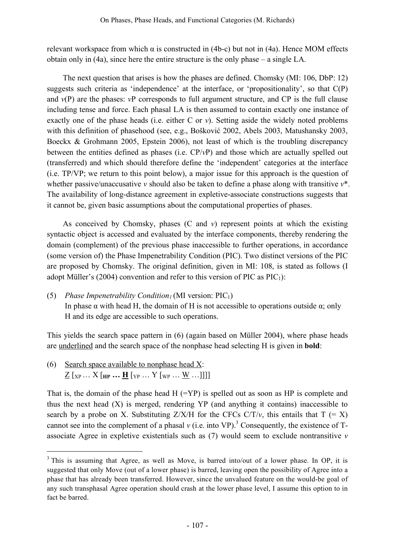relevant workspace from which α is constructed in (4b-c) but not in (4a). Hence MOM effects obtain only in (4a), since here the entire structure is the only phase – a single LA.

The next question that arises is how the phases are defined. Chomsky (MI: 106, DbP: 12) suggests such criteria as 'independence' at the interface, or 'propositionality', so that C(P) and  $v(P)$  are the phases:  $vP$  corresponds to full argument structure, and  $CP$  is the full clause including tense and force. Each phasal LA is then assumed to contain exactly one instance of exactly one of the phase heads (i.e. either C or *v*). Setting aside the widely noted problems with this definition of phasehood (see, e.g., Bošković 2002, Abels 2003, Matushansky 2003, Boeckx & Grohmann 2005, Epstein 2006), not least of which is the troubling discrepancy between the entities defined as phases (i.e. CP/*v*P) and those which are actually spelled out (transferred) and which should therefore define the 'independent' categories at the interface (i.e. TP/VP; we return to this point below), a major issue for this approach is the question of whether passive/unaccusative *v* should also be taken to define a phase along with transitive *v*\*. The availability of long-distance agreement in expletive-associate constructions suggests that it cannot be, given basic assumptions about the computational properties of phases.

As conceived by Chomsky, phases (C and *v*) represent points at which the existing syntactic object is accessed and evaluated by the interface components, thereby rendering the domain (complement) of the previous phase inaccessible to further operations, in accordance (some version of) the Phase Impenetrability Condition (PIC). Two distinct versions of the PIC are proposed by Chomsky. The original definition, given in MI: 108, is stated as follows (I adopt Müller's (2004) convention and refer to this version of PIC as  $\text{PIC}_1$ :

(5) *Phase Impenetrability Condition<sub>1</sub>* (MI version:  $\text{PIC}_1$ ) In phase  $\alpha$  with head H, the domain of H is not accessible to operations outside  $\alpha$ ; only H and its edge are accessible to such operations.

This yields the search space pattern in (6) (again based on Müller 2004), where phase heads are underlined and the search space of the nonphase head selecting H is given in **bold**:

(6) Search space available to nonphase head X:  $\underline{Z}$  [xp ...  $X$  [HP  $\cdots$  **H** [YP ...  $Y$  [WP  $\cdots$  W  $\cdots$ ]]]]

That is, the domain of the phase head  $H$  (=YP) is spelled out as soon as HP is complete and thus the next head  $(X)$  is merged, rendering YP (and anything it contains) inaccessible to search by a probe on X. Substituting  $Z/X/H$  for the CFCs  $C/T/v$ , this entails that  $T (= X)$ cannot see into the complement of a phasal  $v$  (i.e. into VP).<sup>3</sup> Consequently, the existence of Tassociate Agree in expletive existentials such as (7) would seem to exclude nontransitive *v*

<sup>&</sup>lt;sup>3</sup> This is assuming that Agree, as well as Move, is barred into/out of a lower phase. In OP, it is suggested that only Move (out of a lower phase) is barred, leaving open the possibility of Agree into a phase that has already been transferred. However, since the unvalued feature on the would-be goal of any such transphasal Agree operation should crash at the lower phase level, I assume this option to in fact be barred.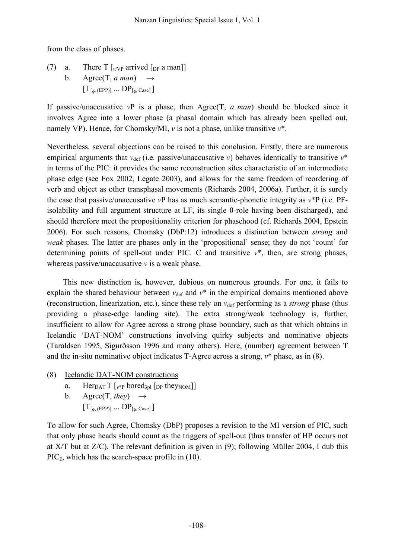from the class of phases.

(7) a. There  $T \vert_{v/VP}$  arrived  $\vert_{DP}$  a man]] b. Agree $(T, a \text{ man})$  $[T_{\lbrack \phi,(EPP)]}\dots DP_{\lbrack \phi,Ease]}]$ 

If passive/unaccusative *v*P is a phase, then Agree(T, *a man*) should be blocked since it involves Agree into a lower phase (a phasal domain which has already been spelled out, namely VP). Hence, for Chomsky/MI, *v* is not a phase, unlike transitive *v*\*.

Nevertheless, several objections can be raised to this conclusion. Firstly, there are numerous empirical arguments that  $v_{def}$  (i.e. passive/unaccusative *v*) behaves identically to transitive  $v^*$ in terms of the PIC: it provides the same reconstruction sites characteristic of an intermediate phase edge (see Fox 2002, Legate 2003), and allows for the same freedom of reordering of verb and object as other transphasal movements (Richards 2004, 2006a). Further, it is surely the case that passive/unaccusative *v*P has as much semantic-phonetic integrity as *v*\*P (i.e. PFisolability and full argument structure at LF, its single θ-role having been discharged), and should therefore meet the propositionality criterion for phasehood (cf. Richards 2004, Epstein 2006). For such reasons, Chomsky (DbP:12) introduces a distinction between *strong* and *weak* phases. The latter are phases only in the 'propositional' sense; they do not 'count' for determining points of spell-out under PIC. C and transitive *v*\*, then, are strong phases, whereas passive/unaccusative *v* is a weak phase.

This new distinction is, however, dubious on numerous grounds. For one, it fails to explain the shared behaviour between  $v_{\text{def}}$  and  $v^*$  in the empirical domains mentioned above (reconstruction, linearization, etc.), since these rely on  $v_{def}$  performing as a *strong* phase (thus providing a phase-edge landing site). The extra strong/weak technology is, further, insufficient to allow for Agree across a strong phase boundary, such as that which obtains in Icelandic 'DAT-NOM' constructions involving quirky subjects and nominative objects (Taraldsen 1995, Sigurðsson 1996 and many others). Here, (number) agreement between T and the in-situ nominative object indicates T-Agree across a strong, *v*\* phase, as in (8).

- (8) Icelandic DAT-NOM constructions
	- a. Her<sub>DAT</sub>  $T$   $[v^{*p}$  bored<sub>3pl</sub>  $[$ <sub>DP</sub> they<sub>NOM</sub> $]]$
	- b. Agree(T, *they*)  $\rightarrow$  $[T_{[{\scriptsize \textsf{\textup{}}\bullet},\,({\rm EPP})}] \, ... \,DP_{[{\scriptsize \textsf{\textup{}}\bullet},\, {\rm Case}]}]$

To allow for such Agree, Chomsky (DbP) proposes a revision to the MI version of PIC, such that only phase heads should count as the triggers of spell-out (thus transfer of HP occurs not at X/T but at Z/C). The relevant definition is given in (9); following Müller 2004, I dub this  $\text{PIC}_2$ , which has the search-space profile in (10).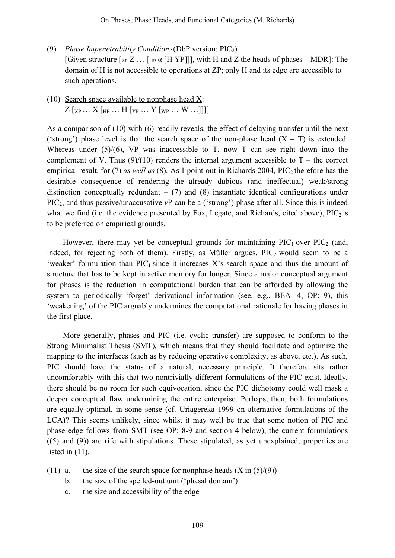- (9) *Phase Impenetrability Condition*<sub>2</sub> (DbP version: PIC<sub>2</sub>) [Given structure  $[\text{ZP } Z \dots [\text{HP } \alpha]$  [H YP]]], with H and Z the heads of phases – MDR]: The domain of H is not accessible to operations at ZP; only H and its edge are accessible to such operations.
- (10) Search space available to nonphase head X:  $\underline{Z}$  [xp ...  $X$  [Hp ...  $\underline{H}$  [Yp ...  $Y$  [Wp ...  $\underline{W}$  ...]]]]

As a comparison of (10) with (6) readily reveals, the effect of delaying transfer until the next ('strong') phase level is that the search space of the non-phase head  $(X = T)$  is extended. Whereas under  $(5)/(6)$ , VP was inaccessible to T, now T can see right down into the complement of V. Thus  $(9)/(10)$  renders the internal argument accessible to T – the correct empirical result, for (7) *as well as* (8). As I point out in Richards 2004, PIC<sub>2</sub> therefore has the desirable consequence of rendering the already dubious (and ineffectual) weak/strong distinction conceptually redundant  $-$  (7) and (8) instantiate identical configurations under PIC2, and thus passive/unaccusative *v*P can be a ('strong') phase after all. Since this is indeed what we find (i.e. the evidence presented by Fox, Legate, and Richards, cited above),  $\text{PIC}_2$  is to be preferred on empirical grounds.

However, there may yet be conceptual grounds for maintaining  $\text{PIC}_1$  over  $\text{PIC}_2$  (and, indeed, for rejecting both of them). Firstly, as Müller argues,  $\text{PIC}_2$  would seem to be a 'weaker' formulation than  $\text{PIC}_1$  since it increases X's search space and thus the amount of structure that has to be kept in active memory for longer. Since a major conceptual argument for phases is the reduction in computational burden that can be afforded by allowing the system to periodically 'forget' derivational information (see, e.g., BEA: 4, OP: 9), this 'weakening' of the PIC arguably undermines the computational rationale for having phases in the first place.

More generally, phases and PIC (i.e. cyclic transfer) are supposed to conform to the Strong Minimalist Thesis (SMT), which means that they should facilitate and optimize the mapping to the interfaces (such as by reducing operative complexity, as above, etc.). As such, PIC should have the status of a natural, necessary principle. It therefore sits rather uncomfortably with this that two nontrivially different formulations of the PIC exist. Ideally, there should be no room for such equivocation, since the PIC dichotomy could well mask a deeper conceptual flaw undermining the entire enterprise. Perhaps, then, both formulations are equally optimal, in some sense (cf. Uriagereka 1999 on alternative formulations of the LCA)? This seems unlikely, since whilst it may well be true that some notion of PIC and phase edge follows from SMT (see OP: 8-9 and section 4 below), the current formulations ((5) and (9)) are rife with stipulations. These stipulated, as yet unexplained, properties are listed in (11).

- (11) a. the size of the search space for nonphase heads  $(X \text{ in } (5)/(9))$ 
	- b. the size of the spelled-out unit ('phasal domain')
	- c. the size and accessibility of the edge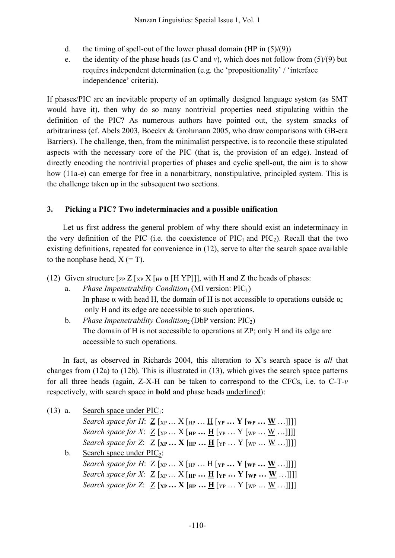- d. the timing of spell-out of the lower phasal domain (HP in  $(5)/(9)$ )
- e. the identity of the phase heads (as C and *v*), which does not follow from  $(5)/(9)$  but requires independent determination (e.g. the 'propositionality' / 'interface independence' criteria).

If phases/PIC are an inevitable property of an optimally designed language system (as SMT would have it), then why do so many nontrivial properties need stipulating within the definition of the PIC? As numerous authors have pointed out, the system smacks of arbitrariness (cf. Abels 2003, Boeckx & Grohmann 2005, who draw comparisons with GB-era Barriers). The challenge, then, from the minimalist perspective, is to reconcile these stipulated aspects with the necessary core of the PIC (that is, the provision of an edge). Instead of directly encoding the nontrivial properties of phases and cyclic spell-out, the aim is to show how (11a-e) can emerge for free in a nonarbitrary, nonstipulative, principled system. This is the challenge taken up in the subsequent two sections.

#### **3. Picking a PIC? Two indeterminacies and a possible unification**

Let us first address the general problem of why there should exist an indeterminacy in the very definition of the PIC (i.e. the coexistence of  $\text{PIC}_1$  and  $\text{PIC}_2$ ). Recall that the two existing definitions, repeated for convenience in (12), serve to alter the search space available to the nonphase head,  $X (= T)$ .

(12) Given structure  $\lceil z_P Z \rceil_{XP} X \rceil_{HP} \alpha$  [H YP]], with H and Z the heads of phases:

- a. *Phase Impenetrability Condition*<sub>1</sub> (MI version: PIC<sub>1</sub>) In phase  $\alpha$  with head H, the domain of H is not accessible to operations outside  $\alpha$ ; only H and its edge are accessible to such operations.
- b. *Phase Impenetrability Condition*<sub>2</sub> (DbP version: PIC<sub>2</sub>) The domain of H is not accessible to operations at ZP; only H and its edge are accessible to such operations.

In fact, as observed in Richards 2004, this alteration to X's search space is *all* that changes from (12a) to (12b). This is illustrated in (13), which gives the search space patterns for all three heads (again, Z-X-H can be taken to correspond to the CFCs, i.e. to C-T-*v* respectively, with search space in **bold** and phase heads underlined):

| $(13)$ a.   | Search space under $\text{PIC}_1$ :                                                                                                          |
|-------------|----------------------------------------------------------------------------------------------------------------------------------------------|
|             | <i>Search space for H</i> : $\underline{Z}$ [ <sub>XP</sub> X [ <sub>HP</sub> <u>H</u> [ <sub>YP</sub> <b>Y</b> [ <sub>WP</sub> <b>W</b> ]]] |
|             | <i>Search space for X</i> : $\underline{Z}$ [xp $X$ [HP $\underline{H}$ [YP $Y$ [WP $\underline{W}$ ]]]]                                     |
|             | <i>Search space for Z</i> : $\underline{Z}$ [xp <b>X</b> [HP <b>H</b> [YP <b>Y</b> [WP <b>W</b> ]]]                                          |
| $b_{\cdot}$ | Search space under $\text{PIC}_2$ :                                                                                                          |
|             | <i>Search space for H</i> : $\underline{Z}$ [xp $X$ [HP $\underline{H}$ [YP $Y$ [WP $\underline{W}$ ]]]]                                     |
|             | <i>Search space for X</i> : $\underline{Z}$ [xp  X [HP <b>H</b> [YP <b>Y</b> [WP <b>W</b> ]]]                                                |
|             | <i>Search space for Z</i> : $\underline{Z}$ [xp <b>X</b> [HP <b>H</b> [YP <b>Y</b> [WP <b>W</b> ]]]                                          |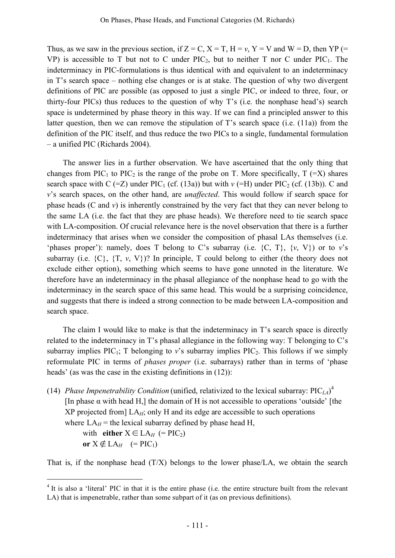Thus, as we saw in the previous section, if  $Z = C$ ,  $X = T$ ,  $H = v$ ,  $Y = V$  and  $W = D$ , then YP (= VP) is accessible to T but not to C under  $\text{PIC}_2$ , but to neither T nor C under  $\text{PIC}_1$ . The indeterminacy in PIC-formulations is thus identical with and equivalent to an indeterminacy in T's search space – nothing else changes or is at stake. The question of why two divergent definitions of PIC are possible (as opposed to just a single PIC, or indeed to three, four, or thirty-four PICs) thus reduces to the question of why T's (i.e. the nonphase head's) search space is undetermined by phase theory in this way. If we can find a principled answer to this latter question, then we can remove the stipulation of T's search space (i.e. (11a)) from the definition of the PIC itself, and thus reduce the two PICs to a single, fundamental formulation – a unified PIC (Richards 2004).

The answer lies in a further observation. We have ascertained that the only thing that changes from PIC<sub>1</sub> to PIC<sub>2</sub> is the range of the probe on T. More specifically,  $T (=X)$  shares search space with  $C$  (=Z) under PIC<sub>1</sub> (cf. (13a)) but with  $\nu$  (=H) under PIC<sub>2</sub> (cf. (13b)). C and *v*'s search spaces, on the other hand, are *unaffected*. This would follow if search space for phase heads (C and *v*) is inherently constrained by the very fact that they can never belong to the same LA (i.e. the fact that they are phase heads). We therefore need to tie search space with LA-composition. Of crucial relevance here is the novel observation that there is a further indeterminacy that arises when we consider the composition of phasal LAs themselves (i.e. 'phases proper'): namely, does T belong to C's subarray (i.e.  $\{C, T\}$ ,  $\{v, V\}$ ) or to *v*'s subarray (i.e.  $\{C\}$ ,  $\{T, v, V\}$ )? In principle, T could belong to either (the theory does not exclude either option), something which seems to have gone unnoted in the literature. We therefore have an indeterminacy in the phasal allegiance of the nonphase head to go with the indeterminacy in the search space of this same head. This would be a surprising coincidence, and suggests that there is indeed a strong connection to be made between LA-composition and search space.

The claim I would like to make is that the indeterminacy in T's search space is directly related to the indeterminacy in T's phasal allegiance in the following way: T belonging to C's subarray implies  $\text{PIC}_1$ ; T belonging to *v*'s subarray implies  $\text{PIC}_2$ . This follows if we simply reformulate PIC in terms of *phases proper* (i.e. subarrays) rather than in terms of 'phase heads' (as was the case in the existing definitions in (12)):

(14) *Phase Impenetrability Condition* (unified, relativized to the lexical subarray: PIC*LA*) 4 [In phase  $\alpha$  with head H,] the domain of H is not accessible to operations 'outside' [the  $XP$  projected from  $LA_H$ ; only H and its edge are accessible to such operations where  $LA_H$  = the lexical subarray defined by phase head H, with **either**  $X \in LA_H$  (= PIC<sub>2</sub>) **or**  $X \notin LA_H$  (= PIC<sub>1</sub>)

That is, if the nonphase head  $(T/X)$  belongs to the lower phase/LA, we obtain the search

<sup>&</sup>lt;sup>4</sup> It is also a 'literal' PIC in that it is the entire phase (i.e. the entire structure built from the relevant LA) that is impenetrable, rather than some subpart of it (as on previous definitions).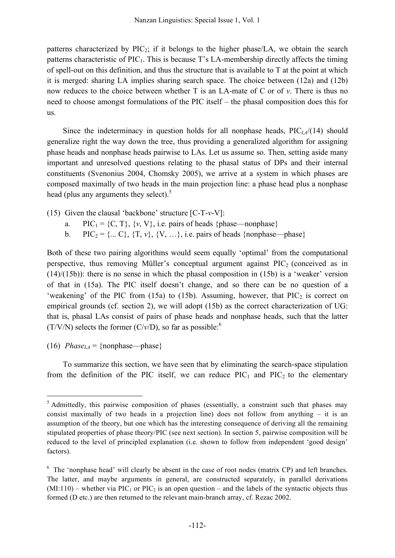patterns characterized by  $\text{PIC}_2$ ; if it belongs to the higher phase/LA, we obtain the search patterns characteristic of  $\text{PIC}_1$ . This is because T's LA-membership directly affects the timing of spell-out on this definition, and thus the structure that is available to T at the point at which it is merged: sharing LA implies sharing search space. The choice between (12a) and (12b) now reduces to the choice between whether T is an LA-mate of C or of *v*. There is thus no need to choose amongst formulations of the PIC itself – the phasal composition does this for us.

Since the indeterminacy in question holds for all nonphase heads, PIC*LA*/(14) should generalize right the way down the tree, thus providing a generalized algorithm for assigning phase heads and nonphase heads pairwise to LAs. Let us assume so. Then, setting aside many important and unresolved questions relating to the phasal status of DPs and their internal constituents (Svenonius 2004, Chomsky 2005), we arrive at a system in which phases are composed maximally of two heads in the main projection line: a phase head plus a nonphase head (plus any arguments they select).<sup>5</sup>

- (15) Given the clausal 'backbone' structure [C-T-*v*-V]:
	- a. PIC<sub>1</sub> = {C, T}, {*v*, V}, i.e. pairs of heads {phase—nonphase}
	- b. PIC<sub>2</sub> = {... C}, {T, *v*}, {V, ...}, i.e. pairs of heads {nonphase—phase}

Both of these two pairing algorithms would seem equally 'optimal' from the computational perspective, thus removing Müller's conceptual argument against  $\text{PIC}_2$  (conceived as in  $(14)/(15b)$ : there is no sense in which the phasal composition in  $(15b)$  is a 'weaker' version of that in (15a). The PIC itself doesn't change, and so there can be no question of a 'weakening' of the PIC from (15a) to (15b). Assuming, however, that  $\text{PIC}_2$  is correct on empirical grounds (cf. section 2), we will adopt (15b) as the correct characterization of UG: that is, phasal LAs consist of pairs of phase heads and nonphase heads, such that the latter  $(T/V/N)$  selects the former  $(C/v/D)$ , so far as possible:<sup>6</sup>

(16) *Phase*<sub>LA</sub> = {nonphase—phase}

To summarize this section, we have seen that by eliminating the search-space stipulation from the definition of the PIC itself, we can reduce  $\text{PIC}_1$  and  $\text{PIC}_2$  to the elementary

<sup>&</sup>lt;sup>5</sup> Admittedly, this pairwise composition of phases (essentially, a constraint such that phases may consist maximally of two heads in a projection line) does not follow from anything – it is an assumption of the theory, but one which has the interesting consequence of deriving all the remaining stipulated properties of phase theory/PIC (see next section). In section 5, pairwise composition will be reduced to the level of principled explanation (i.e. shown to follow from independent 'good design' factors).

<sup>&</sup>lt;sup>6</sup> The 'nonphase head' will clearly be absent in the case of root nodes (matrix CP) and left branches. The latter, and maybe arguments in general, are constructed separately, in parallel derivations  $(MI:110)$  – whether via PIC<sub>1</sub> or PIC<sub>2</sub> is an open question – and the labels of the syntactic objects thus formed (D etc.) are then returned to the relevant main-branch array, cf. Rezac 2002.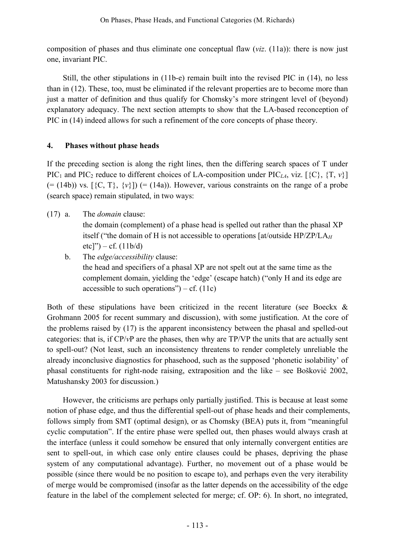composition of phases and thus eliminate one conceptual flaw (*viz*. (11a)): there is now just one, invariant PIC.

Still, the other stipulations in (11b-e) remain built into the revised PIC in (14), no less than in (12). These, too, must be eliminated if the relevant properties are to become more than just a matter of definition and thus qualify for Chomsky's more stringent level of (beyond) explanatory adequacy. The next section attempts to show that the LA-based reconception of PIC in (14) indeed allows for such a refinement of the core concepts of phase theory.

## **4. Phases without phase heads**

If the preceding section is along the right lines, then the differing search spaces of T under PIC<sub>1</sub> and PIC<sub>2</sub> reduce to different choices of LA-composition under PIC<sub>LA</sub>, viz. [ $\{C\}$ ,  $\{T, v\}$ ]  $(=(14b))$  vs.  $[\{C, T\}, \{v\}]$   $(=(14a))$ . However, various constraints on the range of a probe (search space) remain stipulated, in two ways:

(17) a. The *domain* clause:

the domain (complement) of a phase head is spelled out rather than the phasal XP itself ("the domain of H is not accessible to operations [at/outside HP/ZP/LA*<sup>H</sup>*  $etc$ ]") – cf. (11b/d)

b. The *edge/accessibility* clause: the head and specifiers of a phasal XP are not spelt out at the same time as the complement domain, yielding the 'edge' (escape hatch) ("only H and its edge are accessible to such operations") – cf.  $(11c)$ 

Both of these stipulations have been criticized in the recent literature (see Boeckx & Grohmann 2005 for recent summary and discussion), with some justification. At the core of the problems raised by (17) is the apparent inconsistency between the phasal and spelled-out categories: that is, if CP/*v*P are the phases, then why are TP/VP the units that are actually sent to spell-out? (Not least, such an inconsistency threatens to render completely unreliable the already inconclusive diagnostics for phasehood, such as the supposed 'phonetic isolability' of phasal constituents for right-node raising, extraposition and the like – see Bošković 2002, Matushansky 2003 for discussion.)

However, the criticisms are perhaps only partially justified. This is because at least some notion of phase edge, and thus the differential spell-out of phase heads and their complements, follows simply from SMT (optimal design), or as Chomsky (BEA) puts it, from "meaningful cyclic computation". If the entire phase were spelled out, then phases would always crash at the interface (unless it could somehow be ensured that only internally convergent entities are sent to spell-out, in which case only entire clauses could be phases, depriving the phase system of any computational advantage). Further, no movement out of a phase would be possible (since there would be no position to escape to), and perhaps even the very iterability of merge would be compromised (insofar as the latter depends on the accessibility of the edge feature in the label of the complement selected for merge; cf. OP: 6). In short, no integrated,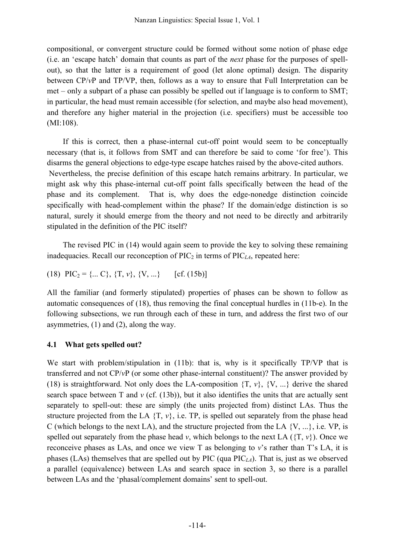compositional, or convergent structure could be formed without some notion of phase edge (i.e. an 'escape hatch' domain that counts as part of the *next* phase for the purposes of spellout), so that the latter is a requirement of good (let alone optimal) design. The disparity between CP/*v*P and TP/VP, then, follows as a way to ensure that Full Interpretation can be met – only a subpart of a phase can possibly be spelled out if language is to conform to SMT; in particular, the head must remain accessible (for selection, and maybe also head movement), and therefore any higher material in the projection (i.e. specifiers) must be accessible too (MI:108).

If this is correct, then a phase-internal cut-off point would seem to be conceptually necessary (that is, it follows from SMT and can therefore be said to come 'for free'). This disarms the general objections to edge-type escape hatches raised by the above-cited authors. Nevertheless, the precise definition of this escape hatch remains arbitrary. In particular, we might ask why this phase-internal cut-off point falls specifically between the head of the phase and its complement. That is, why does the edge-nonedge distinction coincide specifically with head-complement within the phase? If the domain/edge distinction is so natural, surely it should emerge from the theory and not need to be directly and arbitrarily stipulated in the definition of the PIC itself?

The revised PIC in (14) would again seem to provide the key to solving these remaining inadequacies. Recall our reconception of  $\text{PIC}_2$  in terms of  $\text{PIC}_{LA}$ , repeated here:

(18) 
$$
PIC_2 = \{...\ C\}, \{T, \nu\}, \{V, ...\}
$$
 [cf. (15b)]

All the familiar (and formerly stipulated) properties of phases can be shown to follow as automatic consequences of (18), thus removing the final conceptual hurdles in (11b-e). In the following subsections, we run through each of these in turn, and address the first two of our asymmetries, (1) and (2), along the way.

### **4.1 What gets spelled out?**

We start with problem/stipulation in (11b): that is, why is it specifically TP/VP that is transferred and not CP/*v*P (or some other phase-internal constituent)? The answer provided by (18) is straightforward. Not only does the LA-composition  $\{T, v\}$ ,  $\{V, ...\}$  derive the shared search space between T and  $v$  (cf. (13b)), but it also identifies the units that are actually sent separately to spell-out: these are simply (the units projected from) distinct LAs. Thus the structure projected from the LA  $\{T, v\}$ , i.e. TP, is spelled out separately from the phase head C (which belongs to the next LA), and the structure projected from the LA  $\{V, ...\}$ , i.e. VP, is spelled out separately from the phase head *v*, which belongs to the next LA  $({T, v})$ . Once we reconceive phases as LAs, and once we view T as belonging to *v*'s rather than T's LA, it is phases (LAs) themselves that are spelled out by PIC (qua PIC*LA*). That is, just as we observed a parallel (equivalence) between LAs and search space in section 3, so there is a parallel between LAs and the 'phasal/complement domains' sent to spell-out.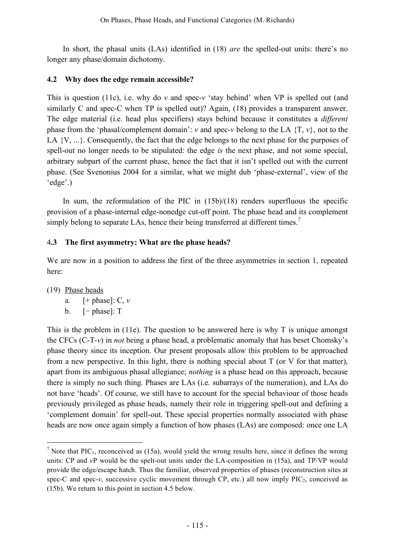In short, the phasal units (LAs) identified in (18) *are* the spelled-out units: there's no longer any phase/domain dichotomy.

### **4.2 Why does the edge remain accessible?**

This is question (11c), i.e. why do *v* and spec-*v* 'stay behind' when VP is spelled out (and similarly C and spec-C when TP is spelled out)? Again, (18) provides a transparent answer. The edge material (i.e. head plus specifiers) stays behind because it constitutes a *different* phase from the 'phasal/complement domain': *v* and spec-*v* belong to the LA {T, *v*}, not to the LA  $\{V, ...\}$ . Consequently, the fact that the edge belongs to the next phase for the purposes of spell-out no longer needs to be stipulated: the edge *is* the next phase, and not some special, arbitrary subpart of the current phase, hence the fact that it isn't spelled out with the current phase. (See Svenonius 2004 for a similar, what we might dub 'phase-external', view of the 'edge'.)

In sum, the reformulation of the PIC in  $(15b)/(18)$  renders superfluous the specific provision of a phase-internal edge-nonedge cut-off point. The phase head and its complement simply belong to separate LAs, hence their being transferred at different times.<sup>7</sup>

## 4**.3 The first asymmetry: What are the phase heads?**

We are now in a position to address the first of the three asymmetries in section 1, repeated here:

(19) Phase heads

a.  $[+$  phase]:  $C, v$ 

b.  $[-$  phase]:  $T$ 

This is the problem in (11e). The question to be answered here is why T is unique amongst the CFCs (C-T-*v*) in *not* being a phase head, a problematic anomaly that has beset Chomsky's phase theory since its inception. Our present proposals allow this problem to be approached from a new perspective. In this light, there is nothing special about  $T$  (or  $V$  for that matter), apart from its ambiguous phasal allegiance; *nothing* is a phase head on this approach, because there is simply no such thing. Phases are LAs (i.e. subarrays of the numeration), and LAs do not have 'heads'. Of course, we still have to account for the special behaviour of those heads previously privileged as phase heads, namely their role in triggering spell-out and defining a 'complement domain' for spell-out. These special properties normally associated with phase heads are now once again simply a function of how phases (LAs) are composed: once one LA

 $<sup>7</sup>$  Note that PIC<sub>1</sub>, reconceived as (15a), would yield the wrong results here, since it defines the wrong</sup> units: CP and *v*P would be the spelt-out units under the LA-composition in (15a), and TP/VP would provide the edge/escape hatch. Thus the familiar, observed properties of phases (reconstruction sites at spec-C and spec- $v$ , successive cyclic movement through CP, etc.) all now imply PIC<sub>2</sub>, conceived as (15b). We return to this point in section 4.5 below.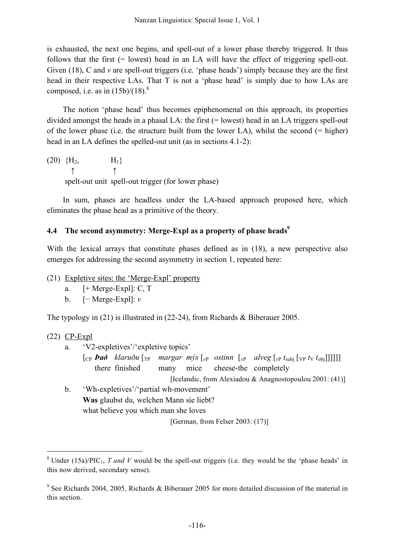is exhausted, the next one begins, and spell-out of a lower phase thereby triggered. It thus follows that the first (= lowest) head in an LA will have the effect of triggering spell-out. Given (18), C and *v* are spell-out triggers (i.e. 'phase heads') simply because they are the first head in their respective LAs. That T is not a 'phase head' is simply due to how LAs are composed, i.e. as in  $(15b)/(18)^8$ 

The notion 'phase head' thus becomes epiphenomenal on this approach, its properties divided amongst the heads in a phasal LA: the first  $(=$  lowest) head in an LA triggers spell-out of the lower phase (i.e. the structure built from the lower LA), whilst the second  $(=$  higher) head in an LA defines the spelled-out unit (as in sections 4.1-2):

 $(20) \{H_2, \qquad H_1\}$ ↑ ↑ spelt-out unit spell-out trigger (for lower phase)

In sum, phases are headless under the LA-based approach proposed here, which eliminates the phase head as a primitive of the theory.

## **4.4 The second asymmetry: Merge-Expl as a property of phase heads 9**

With the lexical arrays that constitute phases defined as in (18), a new perspective also emerges for addressing the second asymmetry in section 1, repeated here:

- (21) Expletive sites: the 'Merge-Expl' property
	- a.  $[+ \text{Merge-Expl}]$ : C, T
	- b. [− Merge-Expl]: *v*

The typology in  $(21)$  is illustrated in  $(22-24)$ , from Richards & Biberauer 2005.

### (22) CP-Expl

- a. 'V2-expletives'/'expletive topics'
	- $\int_{\mathbb{C}} \rho \, \mathbf{P} \, d\mathbf{P} \, d\mathbf{P}$  *klaruðu*  $\int_{\mathbb{C}} \rho \, \text{margar} \, \text{mys} \left[ \int_{\mathbb{C}} \rho \, \text{sigma} \, d\mathbf{P} \, d\mathbf{P} \right] \left[ \int_{\mathbb{C}} \rho \, \text{sigma} \, d\mathbf{P} \right]$ there finished many mice cheese-the completely
		- [Icelandic, from Alexiadou & Anagnostopoulou 2001: (41)]
- b. 'Wh-expletives'/'partial wh-movement' **Was** glaubst du, welchen Mann sie liebt? what believe you which man she loves

[German, from Felser 2003: (17)]

<sup>&</sup>lt;sup>8</sup> Under (15a)/PIC<sub>1</sub>, *T* and *V* would be the spell-out triggers (i.e. they would be the 'phase heads' in this now derived, secondary sense).

<sup>9</sup> See Richards 2004, 2005, Richards & Biberauer 2005 for more detailed discussion of the material in this section.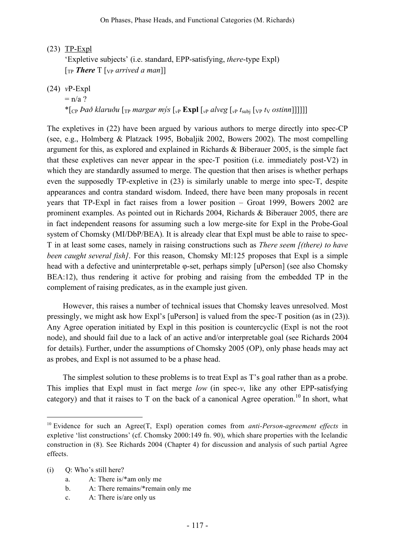(23) TP-Expl

'Expletive subjects' (i.e. standard, EPP-satisfying, *there*-type Expl) [TP *There* T [VP *arrived a man*]]

(24) *v*P-Expl

 $=$  n/a ?

\* $\lceil \frac{1}{2} \rceil$  *cp bað klaruðu*  $\lceil \frac{1}{1} \rceil$  *margar m*ýs  $\lceil v \rceil$  **Expl**  $\lceil v \rceil$  *alveg*  $\lceil v \rceil$  *t<sub>subi</sub>*  $\lceil v \rceil$  *t*y *ostinn*]]]]]]

The expletives in (22) have been argued by various authors to merge directly into spec-CP (see, e.g., Holmberg & Platzack 1995, Bobaljik 2002, Bowers 2002). The most compelling argument for this, as explored and explained in Richards & Biberauer 2005, is the simple fact that these expletives can never appear in the spec-T position (i.e. immediately post-V2) in which they are standardly assumed to merge. The question that then arises is whether perhaps even the supposedly TP-expletive in (23) is similarly unable to merge into spec-T, despite appearances and contra standard wisdom. Indeed, there have been many proposals in recent years that TP-Expl in fact raises from a lower position – Groat 1999, Bowers 2002 are prominent examples. As pointed out in Richards 2004, Richards & Biberauer 2005, there are in fact independent reasons for assuming such a low merge-site for Expl in the Probe-Goal system of Chomsky (MI/DbP/BEA). It is already clear that Expl must be able to raise to spec-T in at least some cases, namely in raising constructions such as *There seem [(there) to have been caught several fish]*. For this reason, Chomsky MI:125 proposes that Expl is a simple head with a defective and uninterpretable φ-set, perhaps simply [uPerson] (see also Chomsky BEA:12), thus rendering it active for probing and raising from the embedded TP in the complement of raising predicates, as in the example just given.

However, this raises a number of technical issues that Chomsky leaves unresolved. Most pressingly, we might ask how Expl's [uPerson] is valued from the spec-T position (as in (23)). Any Agree operation initiated by Expl in this position is countercyclic (Expl is not the root node), and should fail due to a lack of an active and/or interpretable goal (see Richards 2004 for details). Further, under the assumptions of Chomsky 2005 (OP), only phase heads may act as probes, and Expl is not assumed to be a phase head.

The simplest solution to these problems is to treat Expl as T's goal rather than as a probe. This implies that Expl must in fact merge *low* (in spec-*v*, like any other EPP-satisfying category) and that it raises to T on the back of a canonical Agree operation.<sup>10</sup> In short, what

- (i) Q: Who's still here?
	- a. A: There is/\*am only me
	- b. A: There remains/\*remain only me
	- c. A: There is/are only us

 <sup>10</sup> Evidence for such an Agree(T, Expl) operation comes from *anti-Person-agreement effects* in expletive 'list constructions' (cf. Chomsky 2000:149 fn. 90), which share properties with the Icelandic construction in (8). See Richards 2004 (Chapter 4) for discussion and analysis of such partial Agree effects.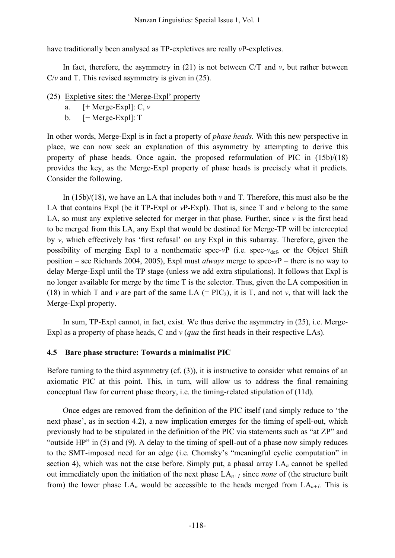have traditionally been analysed as TP-expletives are really *v*P-expletives.

In fact, therefore, the asymmetry in  $(21)$  is not between C/T and  $v$ , but rather between C/*v* and T. This revised asymmetry is given in (25).

- (25) Expletive sites: the 'Merge-Expl' property
	- a. [+ Merge-Expl]: C, *v*
	- b. [− Merge-Expl]: T

In other words, Merge-Expl is in fact a property of *phase heads*. With this new perspective in place, we can now seek an explanation of this asymmetry by attempting to derive this property of phase heads. Once again, the proposed reformulation of PIC in (15b)/(18) provides the key, as the Merge-Expl property of phase heads is precisely what it predicts. Consider the following.

In (15b)/(18), we have an LA that includes both *v* and T. Therefore, this must also be the LA that contains Expl (be it  $TP$ -Expl or  $vP$ -Expl). That is, since  $T$  and  $v$  belong to the same LA, so must any expletive selected for merger in that phase. Further, since  $\nu$  is the first head to be merged from this LA, any Expl that would be destined for Merge-TP will be intercepted by *v*, which effectively has 'first refusal' on any Expl in this subarray. Therefore, given the possibility of merging Expl to a nonthematic spec- $vP$  (i.e. spec- $v_{def}$ , or the Object Shift position – see Richards 2004, 2005), Expl must *always* merge to spec-*v*P – there is no way to delay Merge-Expl until the TP stage (unless we add extra stipulations). It follows that Expl is no longer available for merge by the time T is the selector. Thus, given the LA composition in (18) in which T and *v* are part of the same LA  $(= PIC_2)$ , it is T, and not *v*, that will lack the Merge-Expl property.

In sum, TP-Expl cannot, in fact, exist. We thus derive the asymmetry in (25), i.e. Merge-Expl as a property of phase heads, C and *v* (*qua* the first heads in their respective LAs).

#### **4.5 Bare phase structure: Towards a minimalist PIC**

Before turning to the third asymmetry (cf. (3)), it is instructive to consider what remains of an axiomatic PIC at this point. This, in turn, will allow us to address the final remaining conceptual flaw for current phase theory, i.e. the timing-related stipulation of (11d).

Once edges are removed from the definition of the PIC itself (and simply reduce to 'the next phase', as in section 4.2), a new implication emerges for the timing of spell-out, which previously had to be stipulated in the definition of the PIC via statements such as "at ZP" and "outside HP" in (5) and (9). A delay to the timing of spell-out of a phase now simply reduces to the SMT-imposed need for an edge (i.e. Chomsky's "meaningful cyclic computation" in section 4), which was not the case before. Simply put, a phasal array LA*<sup>n</sup>* cannot be spelled out immediately upon the initiation of the next phase LA*n+1* since *none* of (the structure built from) the lower phase  $LA_n$  would be accessible to the heads merged from  $LA_{n+1}$ . This is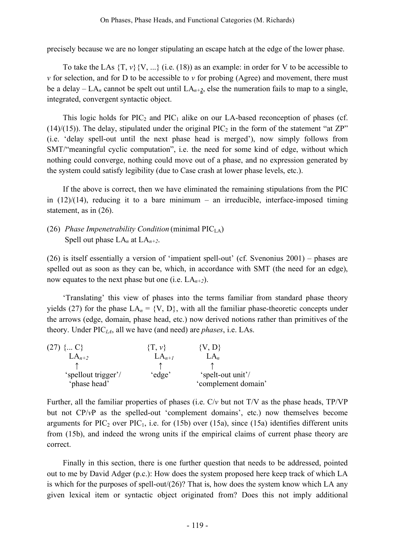precisely because we are no longer stipulating an escape hatch at the edge of the lower phase.

To take the LAs  $\{T, v\}$   $\{V, ...\}$  (i.e. (18)) as an example: in order for V to be accessible to  $\nu$  for selection, and for D to be accessible to  $\nu$  for probing (Agree) and movement, there must be a delay  $-LA_n$  cannot be spelt out until  $LA_{n+2}$ , else the numeration fails to map to a single, integrated, convergent syntactic object.

This logic holds for  $\text{PIC}_2$  and  $\text{PIC}_1$  alike on our LA-based reconception of phases (cf. (14)/(15)). The delay, stipulated under the original  $\text{PIC}_2$  in the form of the statement "at ZP" (i.e. 'delay spell-out until the next phase head is merged'), now simply follows from SMT/"meaningful cyclic computation", i.e. the need for some kind of edge, without which nothing could converge, nothing could move out of a phase, and no expression generated by the system could satisfy legibility (due to Case crash at lower phase levels, etc.).

If the above is correct, then we have eliminated the remaining stipulations from the PIC in  $(12)/(14)$ , reducing it to a bare minimum – an irreducible, interface-imposed timing statement, as in (26).

# (26) *Phase Impenetrability Condition* (minimal PICLA) Spell out phase  $LA_n$  at  $LA_{n+2}$ .

(26) is itself essentially a version of 'impatient spell-out' (cf. Svenonius 2001) – phases are spelled out as soon as they can be, which, in accordance with SMT (the need for an edge), now equates to the next phase but one (i.e.  $LA_{n+2}$ ).

'Translating' this view of phases into the terms familiar from standard phase theory yields (27) for the phase  $LA_n = \{V, D\}$ , with all the familiar phase-theoretic concepts under the arrows (edge, domain, phase head, etc.) now derived notions rather than primitives of the theory. Under PIC*LA*, all we have (and need) are *phases*, i.e. LAs.

| $(27) \{ C\}$       | $\{T, \nu\}$ | $\{V, D\}$          |
|---------------------|--------------|---------------------|
| $LA_{n+2}$          | $LA_{n+1}$   | $L_{A_n}$           |
|                     |              |                     |
| 'spellout trigger'/ | 'edge'       | 'spelt-out unit'/   |
| 'phase head'        |              | 'complement domain' |

Further, all the familiar properties of phases (i.e. C/*v* but not T/V as the phase heads, TP/VP but not CP/*v*P as the spelled-out 'complement domains', etc.) now themselves become arguments for  $\text{PIC}_2$  over  $\text{PIC}_1$ , i.e. for (15b) over (15a), since (15a) identifies different units from (15b), and indeed the wrong units if the empirical claims of current phase theory are correct.

Finally in this section, there is one further question that needs to be addressed, pointed out to me by David Adger (p.c.): How does the system proposed here keep track of which LA is which for the purposes of spell-out/(26)? That is, how does the system know which LA any given lexical item or syntactic object originated from? Does this not imply additional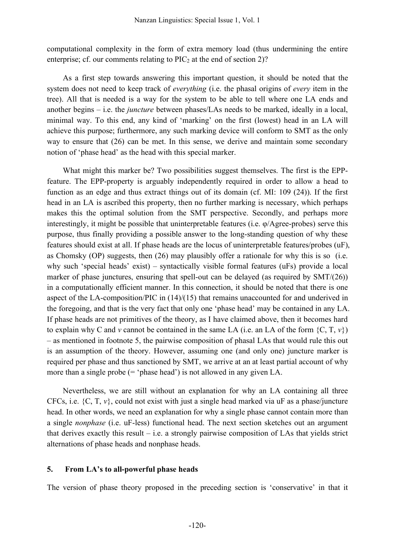computational complexity in the form of extra memory load (thus undermining the entire enterprise; cf. our comments relating to  $\text{PIC}_2$  at the end of section 2)?

As a first step towards answering this important question, it should be noted that the system does not need to keep track of *everything* (i.e. the phasal origins of *every* item in the tree). All that is needed is a way for the system to be able to tell where one LA ends and another begins – i.e. the *juncture* between phases/LAs needs to be marked, ideally in a local, minimal way. To this end, any kind of 'marking' on the first (lowest) head in an LA will achieve this purpose; furthermore, any such marking device will conform to SMT as the only way to ensure that (26) can be met. In this sense, we derive and maintain some secondary notion of 'phase head' as the head with this special marker.

What might this marker be? Two possibilities suggest themselves. The first is the EPPfeature. The EPP-property is arguably independently required in order to allow a head to function as an edge and thus extract things out of its domain (cf. MI: 109 (24)). If the first head in an LA is ascribed this property, then no further marking is necessary, which perhaps makes this the optimal solution from the SMT perspective. Secondly, and perhaps more interestingly, it might be possible that uninterpretable features (i.e. φ/Agree-probes) serve this purpose, thus finally providing a possible answer to the long-standing question of why these features should exist at all. If phase heads are the locus of uninterpretable features/probes (uF), as Chomsky (OP) suggests, then (26) may plausibly offer a rationale for why this is so (i.e. why such 'special heads' exist) – syntactically visible formal features (uFs) provide a local marker of phase junctures, ensuring that spell-out can be delayed (as required by SMT/(26)) in a computationally efficient manner. In this connection, it should be noted that there is one aspect of the LA-composition/PIC in (14)/(15) that remains unaccounted for and underived in the foregoing, and that is the very fact that only one 'phase head' may be contained in any LA. If phase heads are not primitives of the theory, as I have claimed above, then it becomes hard to explain why C and *v* cannot be contained in the same LA (i.e. an LA of the form  $\{C, T, v\}$ ) – as mentioned in footnote 5, the pairwise composition of phasal LAs that would rule this out is an assumption of the theory. However, assuming one (and only one) juncture marker is required per phase and thus sanctioned by SMT, we arrive at an at least partial account of why more than a single probe  $(= 'phase head')$  is not allowed in any given LA.

Nevertheless, we are still without an explanation for why an LA containing all three CFCs, i.e. {C, T, *v*}, could not exist with just a single head marked via uF as a phase/juncture head. In other words, we need an explanation for why a single phase cannot contain more than a single *nonphase* (i.e. uF-less) functional head. The next section sketches out an argument that derives exactly this result – i.e. a strongly pairwise composition of LAs that yields strict alternations of phase heads and nonphase heads.

#### **5. From LA's to all-powerful phase heads**

The version of phase theory proposed in the preceding section is 'conservative' in that it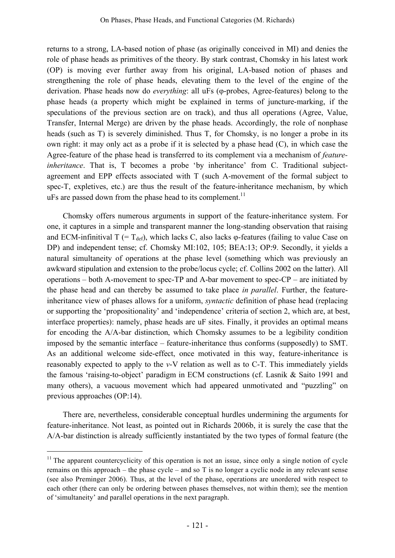returns to a strong, LA-based notion of phase (as originally conceived in MI) and denies the role of phase heads as primitives of the theory. By stark contrast, Chomsky in his latest work (OP) is moving ever further away from his original, LA-based notion of phases and strengthening the role of phase heads, elevating them to the level of the engine of the derivation. Phase heads now do *everything*: all uFs (φ-probes, Agree-features) belong to the phase heads (a property which might be explained in terms of juncture-marking, if the speculations of the previous section are on track), and thus all operations (Agree, Value, Transfer, Internal Merge) are driven by the phase heads. Accordingly, the role of nonphase heads (such as T) is severely diminished. Thus T, for Chomsky, is no longer a probe in its own right: it may only act as a probe if it is selected by a phase head (C), in which case the Agree-feature of the phase head is transferred to its complement via a mechanism of *featureinheritance*. That is, T becomes a probe 'by inheritance' from C. Traditional subjectagreement and EPP effects associated with T (such A-movement of the formal subject to spec-T, expletives, etc.) are thus the result of the feature-inheritance mechanism, by which uFs are passed down from the phase head to its complement.<sup>11</sup>

Chomsky offers numerous arguments in support of the feature-inheritance system. For one, it captures in a simple and transparent manner the long-standing observation that raising and ECM-infinitival T (=  $T_{\text{def}}$ ), which lacks C, also lacks  $\varphi$ -features (failing to value Case on DP) and independent tense; cf. Chomsky MI:102, 105; BEA:13; OP:9. Secondly, it yields a natural simultaneity of operations at the phase level (something which was previously an awkward stipulation and extension to the probe/locus cycle; cf. Collins 2002 on the latter). All operations – both A-movement to spec-TP and A-bar movement to spec-CP – are initiated by the phase head and can thereby be assumed to take place *in parallel*. Further, the featureinheritance view of phases allows for a uniform, *syntactic* definition of phase head (replacing or supporting the 'propositionality' and 'independence' criteria of section 2, which are, at best, interface properties): namely, phase heads are uF sites. Finally, it provides an optimal means for encoding the A/A-bar distinction, which Chomsky assumes to be a legibility condition imposed by the semantic interface – feature-inheritance thus conforms (supposedly) to SMT. As an additional welcome side-effect, once motivated in this way, feature-inheritance is reasonably expected to apply to the *v*-V relation as well as to C-T. This immediately yields the famous 'raising-to-object' paradigm in ECM constructions (cf. Lasnik & Saito 1991 and many others), a vacuous movement which had appeared unmotivated and "puzzling" on previous approaches (OP:14).

There are, nevertheless, considerable conceptual hurdles undermining the arguments for feature-inheritance. Not least, as pointed out in Richards 2006b, it is surely the case that the A/A-bar distinction is already sufficiently instantiated by the two types of formal feature (the

 $11$  The apparent countercyclicity of this operation is not an issue, since only a single notion of cycle remains on this approach – the phase cycle – and so T is no longer a cyclic node in any relevant sense (see also Preminger 2006). Thus, at the level of the phase, operations are unordered with respect to each other (there can only be ordering between phases themselves, not within them); see the mention of 'simultaneity' and parallel operations in the next paragraph.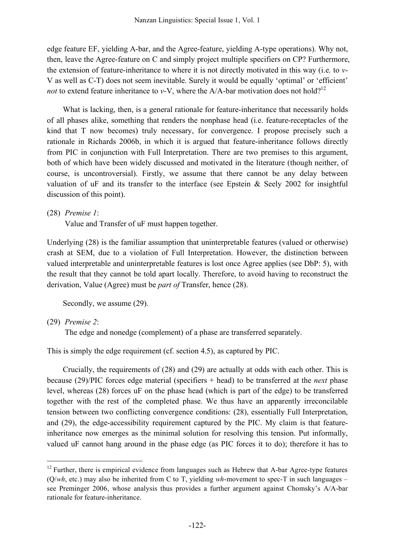edge feature EF, yielding A-bar, and the Agree-feature, yielding A-type operations). Why not, then, leave the Agree-feature on C and simply project multiple specifiers on CP? Furthermore, the extension of feature-inheritance to where it is not directly motivated in this way (i.e. to *v*-V as well as C-T) does not seem inevitable. Surely it would be equally 'optimal' or 'efficient' *not* to extend feature inheritance to *v*-V, where the A/A-bar motivation does not hold?<sup>12</sup>

What is lacking, then, is a general rationale for feature-inheritance that necessarily holds of all phases alike, something that renders the nonphase head (i.e. feature-receptacles of the kind that T now becomes) truly necessary, for convergence. I propose precisely such a rationale in Richards 2006b, in which it is argued that feature-inheritance follows directly from PIC in conjunction with Full Interpretation. There are two premises to this argument, both of which have been widely discussed and motivated in the literature (though neither, of course, is uncontroversial). Firstly, we assume that there cannot be any delay between valuation of uF and its transfer to the interface (see Epstein & Seely 2002 for insightful discussion of this point).

(28) *Premise 1*:

Value and Transfer of uF must happen together.

Underlying (28) is the familiar assumption that uninterpretable features (valued or otherwise) crash at SEM, due to a violation of Full Interpretation. However, the distinction between valued interpretable and uninterpretable features is lost once Agree applies (see DbP: 5), with the result that they cannot be told apart locally. Therefore, to avoid having to reconstruct the derivation, Value (Agree) must be *part of* Transfer, hence (28).

Secondly, we assume (29).

(29) *Premise 2*:

The edge and nonedge (complement) of a phase are transferred separately.

This is simply the edge requirement (cf. section 4.5), as captured by PIC.

Crucially, the requirements of (28) and (29) are actually at odds with each other. This is because (29)/PIC forces edge material (specifiers + head) to be transferred at the *next* phase level, whereas (28) forces uF on the phase head (which is part of the edge) to be transferred together with the rest of the completed phase. We thus have an apparently irreconcilable tension between two conflicting convergence conditions: (28), essentially Full Interpretation, and (29), the edge-accessibility requirement captured by the PIC. My claim is that featureinheritance now emerges as the minimal solution for resolving this tension. Put informally, valued uF cannot hang around in the phase edge (as PIC forces it to do); therefore it has to

<sup>&</sup>lt;sup>12</sup> Further, there is empirical evidence from languages such as Hebrew that A-bar Agree-type features (Q/*wh*, etc.) may also be inherited from C to T, yielding *wh*-movement to spec-T in such languages – see Preminger 2006, whose analysis thus provides a further argument against Chomsky's A/A-bar rationale for feature-inheritance.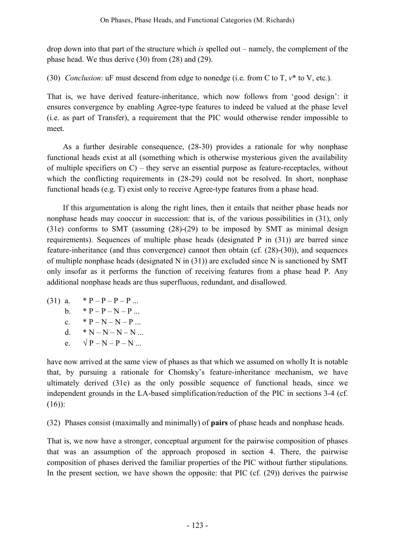drop down into that part of the structure which *is* spelled out – namely, the complement of the phase head. We thus derive (30) from (28) and (29).

(30) *Conclusion*: uF must descend from edge to nonedge (i.e. from C to T, *v*\* to V, etc.).

That is, we have derived feature-inheritance, which now follows from 'good design': it ensures convergence by enabling Agree-type features to indeed be valued at the phase level (i.e. as part of Transfer), a requirement that the PIC would otherwise render impossible to meet.

As a further desirable consequence, (28-30) provides a rationale for why nonphase functional heads exist at all (something which is otherwise mysterious given the availability of multiple specifiers on  $C$ ) – they serve an essential purpose as feature-receptacles, without which the conflicting requirements in  $(28-29)$  could not be resolved. In short, nonphase functional heads (e.g. T) exist only to receive Agree-type features from a phase head.

If this argumentation is along the right lines, then it entails that neither phase heads nor nonphase heads may cooccur in succession: that is, of the various possibilities in (31), only (31e) conforms to SMT (assuming (28)-(29) to be imposed by SMT as minimal design requirements). Sequences of multiple phase heads (designated P in (31)) are barred since feature-inheritance (and thus convergence) cannot then obtain (cf. (28)-(30)), and sequences of multiple nonphase heads (designated N in (31)) are excluded since N is sanctioned by SMT only insofar as it performs the function of receiving features from a phase head P. Any additional nonphase heads are thus superfluous, redundant, and disallowed.

(31) a.  $\ast P - P - P - P$  ... b.  $* P - P - N - P$ ... c.  $* P - N - N - P$ ... d.  $* N - N - N - N$ ... e.  $\sqrt{P-N-P-N}$ ...

have now arrived at the same view of phases as that which we assumed on wholly It is notable that, by pursuing a rationale for Chomsky's feature-inheritance mechanism, we have ultimately derived (31e) as the only possible sequence of functional heads, since we independent grounds in the LA-based simplification/reduction of the PIC in sections 3-4 (cf.  $(16)$ :

(32) Phases consist (maximally and minimally) of **pairs** of phase heads and nonphase heads.

That is, we now have a stronger, conceptual argument for the pairwise composition of phases that was an assumption of the approach proposed in section 4. There, the pairwise composition of phases derived the familiar properties of the PIC without further stipulations. In the present section, we have shown the opposite: that PIC (cf. (29)) derives the pairwise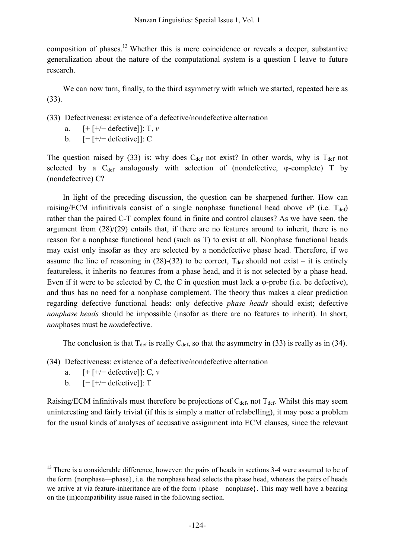composition of phases.<sup>13</sup> Whether this is mere coincidence or reveals a deeper, substantive generalization about the nature of the computational system is a question I leave to future research.

We can now turn, finally, to the third asymmetry with which we started, repeated here as (33).

(33) Defectiveness: existence of a defective/nondefective alternation

- a. [+ [+/− defective]]: T, *v*
- b. [− [+/− defective]]: C

The question raised by (33) is: why does  $C_{def}$  not exist? In other words, why is  $T_{def}$  not selected by a  $C_{def}$  analogously with selection of (nondefective, φ-complete) T by (nondefective) C?

In light of the preceding discussion, the question can be sharpened further. How can raising/ECM infinitivals consist of a single nonphase functional head above  $vP$  (i.e.  $T_{def}$ ) rather than the paired C-T complex found in finite and control clauses? As we have seen, the argument from (28)/(29) entails that, if there are no features around to inherit, there is no reason for a nonphase functional head (such as T) to exist at all. Nonphase functional heads may exist only insofar as they are selected by a nondefective phase head. Therefore, if we assume the line of reasoning in (28)-(32) to be correct,  $T_{\text{def}}$  should not exist – it is entirely featureless, it inherits no features from a phase head, and it is not selected by a phase head. Even if it were to be selected by C, the C in question must lack a  $\varphi$ -probe (i.e. be defective), and thus has no need for a nonphase complement. The theory thus makes a clear prediction regarding defective functional heads: only defective *phase heads* should exist; defective *nonphase heads* should be impossible (insofar as there are no features to inherit). In short, *non*phases must be *non*defective.

The conclusion is that  $T_{\text{def}}$  is really  $C_{\text{def}}$ , so that the asymmetry in (33) is really as in (34).

- (34) Defectiveness: existence of a defective/nondefective alternation
	- a. [+ [+/− defective]]: C, *v*
	- b. [− [+/− defective]]: T

Raising/ECM infinitivals must therefore be projections of  $C_{\text{def}}$ , not  $T_{\text{def}}$ . Whilst this may seem uninteresting and fairly trivial (if this is simply a matter of relabelling), it may pose a problem for the usual kinds of analyses of accusative assignment into ECM clauses, since the relevant

<sup>&</sup>lt;sup>13</sup> There is a considerable difference, however: the pairs of heads in sections 3-4 were assumed to be of the form {nonphase—phase}, i.e. the nonphase head selects the phase head, whereas the pairs of heads we arrive at via feature-inheritance are of the form {phase—nonphase}. This may well have a bearing on the (in)compatibility issue raised in the following section.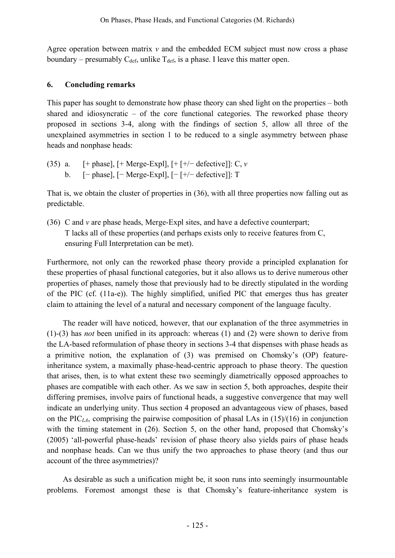Agree operation between matrix *v* and the embedded ECM subject must now cross a phase boundary – presumably  $C_{\text{def}}$ , unlike  $T_{\text{def}}$ , is a phase. I leave this matter open.

## **6. Concluding remarks**

This paper has sought to demonstrate how phase theory can shed light on the properties – both shared and idiosyncratic – of the core functional categories. The reworked phase theory proposed in sections 3-4, along with the findings of section 5, allow all three of the unexplained asymmetries in section 1 to be reduced to a single asymmetry between phase heads and nonphase heads:

(35) a.  $[+$  phase],  $[+$  Merge-Expl],  $[+$   $[+/-$  defective]]: C, *v* b. [− phase], [− Merge-Expl], [− [+/− defective]]: T

That is, we obtain the cluster of properties in (36), with all three properties now falling out as predictable.

(36) C and *v* are phase heads, Merge-Expl sites, and have a defective counterpart; T lacks all of these properties (and perhaps exists only to receive features from C, ensuring Full Interpretation can be met).

Furthermore, not only can the reworked phase theory provide a principled explanation for these properties of phasal functional categories, but it also allows us to derive numerous other properties of phases, namely those that previously had to be directly stipulated in the wording of the PIC (cf. (11a-e)). The highly simplified, unified PIC that emerges thus has greater claim to attaining the level of a natural and necessary component of the language faculty.

The reader will have noticed, however, that our explanation of the three asymmetries in (1)-(3) has *not* been unified in its approach: whereas (1) and (2) were shown to derive from the LA-based reformulation of phase theory in sections 3-4 that dispenses with phase heads as a primitive notion, the explanation of (3) was premised on Chomsky's (OP) featureinheritance system, a maximally phase-head-centric approach to phase theory. The question that arises, then, is to what extent these two seemingly diametrically opposed approaches to phases are compatible with each other. As we saw in section 5, both approaches, despite their differing premises, involve pairs of functional heads, a suggestive convergence that may well indicate an underlying unity. Thus section 4 proposed an advantageous view of phases, based on the PIC*LA*, comprising the pairwise composition of phasal LAs in (15)/(16) in conjunction with the timing statement in (26). Section 5, on the other hand, proposed that Chomsky's (2005) 'all-powerful phase-heads' revision of phase theory also yields pairs of phase heads and nonphase heads. Can we thus unify the two approaches to phase theory (and thus our account of the three asymmetries)?

As desirable as such a unification might be, it soon runs into seemingly insurmountable problems. Foremost amongst these is that Chomsky's feature-inheritance system is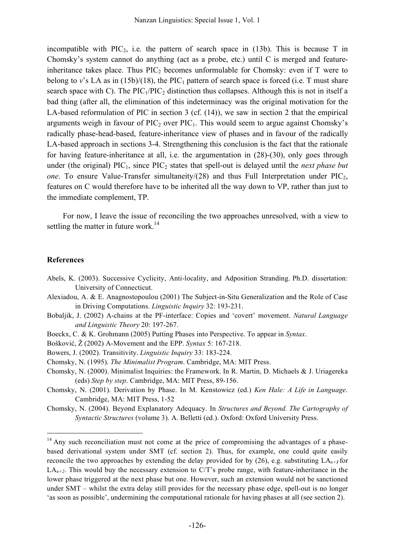incompatible with PIC<sub>2</sub>, i.e. the pattern of search space in  $(13b)$ . This is because T in Chomsky's system cannot do anything (act as a probe, etc.) until C is merged and featureinheritance takes place. Thus  $\text{PIC}_2$  becomes unformulable for Chomsky: even if T were to belong to  $v$ 's LA as in  $(15b)/(18)$ , the PIC<sub>1</sub> pattern of search space is forced (i.e. T must share search space with C). The  $\text{PIC}_1/\text{PIC}_2$  distinction thus collapses. Although this is not in itself a bad thing (after all, the elimination of this indeterminacy was the original motivation for the LA-based reformulation of PIC in section 3 (cf. (14)), we saw in section 2 that the empirical arguments weigh in favour of  $\text{PIC}_2$  over  $\text{PIC}_1$ . This would seem to argue against Chomsky's radically phase-head-based, feature-inheritance view of phases and in favour of the radically LA-based approach in sections 3-4. Strengthening this conclusion is the fact that the rationale for having feature-inheritance at all, i.e. the argumentation in (28)-(30), only goes through under (the original) PIC<sub>1</sub>, since PIC<sub>2</sub> states that spell-out is delayed until the *next phase but one*. To ensure Value-Transfer simultaneity/(28) and thus Full Interpretation under  $\text{PIC}_2$ , features on C would therefore have to be inherited all the way down to VP, rather than just to the immediate complement, TP.

For now, I leave the issue of reconciling the two approaches unresolved, with a view to settling the matter in future work.<sup>14</sup>

#### **References**

- Abels, K. (2003). Successive Cyclicity, Anti-locality, and Adposition Stranding. Ph.D. dissertation: University of Connecticut.
- Alexiadou, A. & E. Anagnostopoulou (2001) The Subject-in-Situ Generalization and the Role of Case in Driving Computations. *Linguistic Inquiry* 32: 193-231.
- Bobaljik, J. (2002) A-chains at the PF-interface: Copies and 'covert' movement. *Natural Language and Linguistic Theory* 20: 197-267.
- Boeckx, C. & K. Grohmann (2005) Putting Phases into Perspective. To appear in *Syntax*.
- Bošković, Ž (2002) A-Movement and the EPP. *Syntax* 5: 167-218.
- Bowers, J. (2002). Transitivity. *Linguistic Inquiry* 33: 183-224.
- Chomsky, N. (1995). *The Minimalist Program*. Cambridge, MA: MIT Press.
- Chomsky, N. (2000). Minimalist Inquiries: the Framework. In R. Martin, D. Michaels & J. Uriagereka (eds) *Step by step*. Cambridge, MA: MIT Press, 89-156.
- Chomsky, N. (2001). Derivation by Phase. In M. Kenstowicz (ed.) *Ken Hale: A Life in Language*. Cambridge, MA: MIT Press, 1-52
- Chomsky, N. (2004). Beyond Explanatory Adequacy. In *Structures and Beyond. The Cartography of Syntactic Structures* (volume 3). A. Belletti (ed.). Oxford: Oxford University Press.

<sup>&</sup>lt;sup>14</sup> Any such reconciliation must not come at the price of compromising the advantages of a phasebased derivational system under SMT (cf. section 2). Thus, for example, one could quite easily reconcile the two approaches by extending the delay provided for by (26), e.g. substituting  $LA_{n+3}$  for  $LA_{n+2}$ . This would buy the necessary extension to C/T's probe range, with feature-inheritance in the lower phase triggered at the next phase but one. However, such an extension would not be sanctioned under SMT – whilst the extra delay still provides for the necessary phase edge, spell-out is no longer 'as soon as possible', undermining the computational rationale for having phases at all (see section 2).